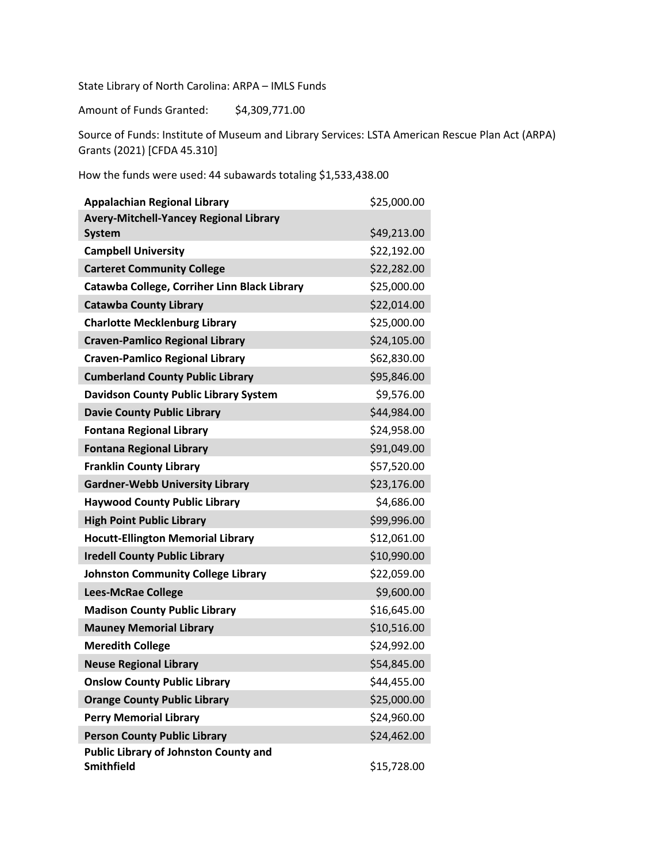State Library of North Carolina: ARPA – IMLS Funds

Amount of Funds Granted: \$4,309,771.00

Source of Funds: Institute of Museum and Library Services: LSTA American Rescue Plan Act (ARPA) Grants (2021) [CFDA 45.310]

How the funds were used: 44 subawards totaling \$1,533,438.00

| <b>Appalachian Regional Library</b>                               | \$25,000.00 |
|-------------------------------------------------------------------|-------------|
| Avery-Mitchell-Yancey Regional Library                            |             |
| <b>System</b>                                                     | \$49,213.00 |
| <b>Campbell University</b>                                        | \$22,192.00 |
| <b>Carteret Community College</b>                                 | \$22,282.00 |
| Catawba College, Corriher Linn Black Library                      | \$25,000.00 |
| <b>Catawba County Library</b>                                     | \$22,014.00 |
| <b>Charlotte Mecklenburg Library</b>                              | \$25,000.00 |
| <b>Craven-Pamlico Regional Library</b>                            | \$24,105.00 |
| <b>Craven-Pamlico Regional Library</b>                            | \$62,830.00 |
| <b>Cumberland County Public Library</b>                           | \$95,846.00 |
| <b>Davidson County Public Library System</b>                      | \$9,576.00  |
| <b>Davie County Public Library</b>                                | \$44,984.00 |
| <b>Fontana Regional Library</b>                                   | \$24,958.00 |
| <b>Fontana Regional Library</b>                                   | \$91,049.00 |
| <b>Franklin County Library</b>                                    | \$57,520.00 |
| <b>Gardner-Webb University Library</b>                            | \$23,176.00 |
| <b>Haywood County Public Library</b>                              | \$4,686.00  |
| <b>High Point Public Library</b>                                  | \$99,996.00 |
| <b>Hocutt-Ellington Memorial Library</b>                          | \$12,061.00 |
| <b>Iredell County Public Library</b>                              | \$10,990.00 |
| <b>Johnston Community College Library</b>                         | \$22,059.00 |
| <b>Lees-McRae College</b>                                         | \$9,600.00  |
| <b>Madison County Public Library</b>                              | \$16,645.00 |
| <b>Mauney Memorial Library</b>                                    | \$10,516.00 |
| <b>Meredith College</b>                                           | \$24,992.00 |
| <b>Neuse Regional Library</b>                                     | \$54,845.00 |
| <b>Onslow County Public Library</b>                               | \$44,455.00 |
| <b>Orange County Public Library</b>                               | \$25,000.00 |
| <b>Perry Memorial Library</b>                                     | \$24,960.00 |
| <b>Person County Public Library</b>                               | \$24,462.00 |
| <b>Public Library of Johnston County and</b><br><b>Smithfield</b> | \$15,728.00 |